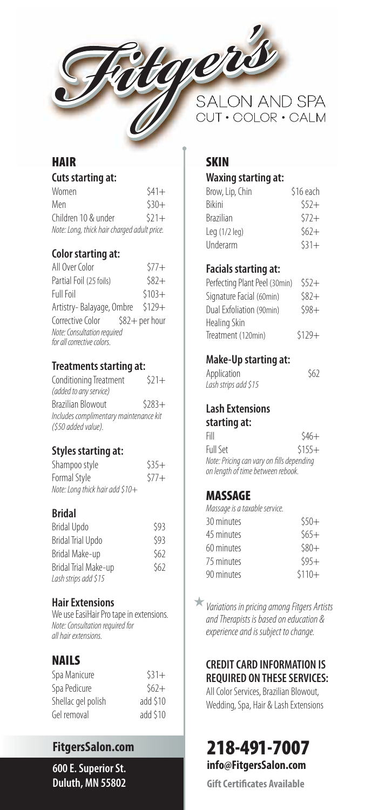

# **HAIR**

| <b>Cuts starting at:</b> |
|--------------------------|
|--------------------------|

| Women                                       | $541+$ |
|---------------------------------------------|--------|
| Men                                         | $530+$ |
| Children 10 & under                         | $521+$ |
| Note: Long, thick hair charged adult price. |        |

## **Color starting at:**

| All Over Color                                            | $577+$  |
|-----------------------------------------------------------|---------|
| Partial Foil (25 foils)                                   | $$82+$  |
| <b>Full Foil</b>                                          | $$103+$ |
| Artistry-Balayage, Ombre \$129+                           |         |
| Corrective Color \$82+ per hour                           |         |
| Note: Consultation required<br>for all corrective colors. |         |

## **Treatments starting at:**

| Conditioning Treatment                 | $521+$  |
|----------------------------------------|---------|
| (added to any service)                 |         |
| Brazilian Blowout                      | $5283+$ |
| Includes complimentary maintenance kit |         |
| (\$50 added value).                    |         |

## **Styles starting at:**

| Shampoo style                   | $535+$ |
|---------------------------------|--------|
| Formal Style                    | $577+$ |
| Note: Long thick hair add \$10+ |        |

## **Bridal**

| <b>Bridal Updo</b>       | \$93 |
|--------------------------|------|
| <b>Bridal Trial Updo</b> | \$93 |
| Bridal Make-up           | \$62 |
| Bridal Trial Make-up     | \$62 |
| Lash strips add \$15     |      |

## **Hair Extensions**

We use EasiHair Pro tape in extensions. Note: Consultation required for all hair extensions.

## **NAILS**

| $531+$   |
|----------|
| $562+$   |
| add \$10 |
| add \$10 |
|          |

**FitgersSalon.com 600 E. Superior St. Duluth, MN 55802**

**SALON AND SPA** CUT · COLOR · CALM

## **SKIN**

## **Waxing starting at:**

| Brow, Lip, Chin  | \$16 each |
|------------------|-----------|
| <b>Rikini</b>    | $552+$    |
| <b>Brazilian</b> | $572+$    |
| Leg $(1/2$ leg)  | $562+$    |
| Underarm         | $531+$    |

## **Facials starting at:**

| Perfecting Plant Peel (30min) | $552+$  |
|-------------------------------|---------|
| Signature Facial (60min)      | $582+$  |
| Dual Exfoliation (90min)      | $598+$  |
| Healing Skin                  |         |
| Treatment (120min)            | $$129+$ |

## **Make-Up starting at:**

| Application          | \$62 |
|----------------------|------|
| Lash strips add \$15 |      |

#### **Lash Extensions starting at:**

| Fill                                      | $546+$  |
|-------------------------------------------|---------|
| Full Set                                  | $$155+$ |
| Note: Pricing can vary on fills depending |         |
| on length of time between rebook.         |         |

## **MASSAGE**

Massage is a taxable service.

| 30 minutes | $550+$  |
|------------|---------|
| 45 minutes | $565+$  |
| 60 minutes | $580+$  |
| 75 minutes | $595+$  |
| 90 minutes | $$110+$ |
|            |         |

Variations in pricing among Fitgers Artists and Therapists is based on education & experience and is subject to change.

## **CREDIT CARD INFORMATION IS REQUIRED ON THESE SERVICES:**

All Color Services, Brazilian Blowout, Wedding, Spa, Hair & Lash Extensions

**218-491-7007**

**info@FitgersSalon.com**